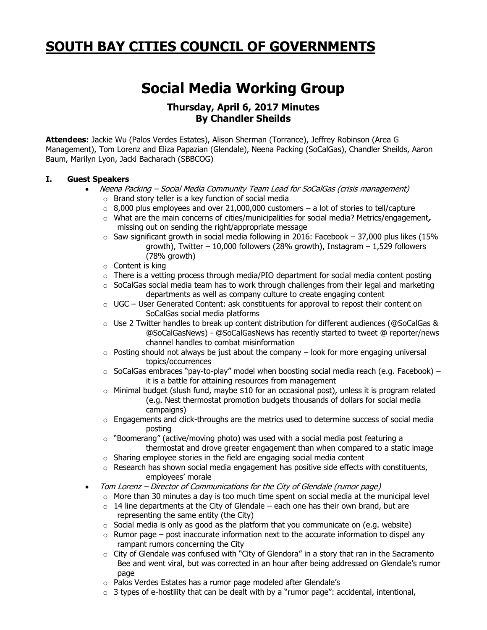## **SOUTH BAY CITIES COUNCIL OF GOVERNMENTS**

## **Social Media Working Group**

## **Thursday, April 6, 2017 Minutes By Chandler Sheilds**

**Attendees:** Jackie Wu (Palos Verdes Estates), Alison Sherman (Torrance), Jeffrey Robinson (Area G Management), Tom Lorenz and Eliza Papazian (Glendale), Neena Packing (SoCalGas), Chandler Sheilds, Aaron Baum, Marilyn Lyon, Jacki Bacharach (SBBCOG)

## **I. Guest Speakers**

- Neena Packing Social Media Community Team Lead for SoCalGas (crisis management)
	- o Brand story teller is a key function of social media
	- $\circ$  8,000 plus employees and over 21,000,000 customers a lot of stories to tell/capture
	- o What are the main concerns of cities/municipalities for social media? Metrics/engagement**,**  missing out on sending the right/appropriate message
	- $\circ$  Saw significant growth in social media following in 2016: Facebook 37,000 plus likes (15% growth), Twitter – 10,000 followers (28% growth), Instagram – 1,529 followers (78% growth)
	- o Content is king
	- $\circ$  There is a vetting process through media/PIO department for social media content posting
	- $\circ$  SoCalGas social media team has to work through challenges from their legal and marketing departments as well as company culture to create engaging content
	- $\circ$  UGC User Generated Content: ask constituents for approval to repost their content on SoCalGas social media platforms
	- $\circ$  Use 2 Twitter handles to break up content distribution for different audiences (@SoCalGas & @SoCalGasNews) - @SoCalGasNews has recently started to tweet @ reporter/news channel handles to combat misinformation
	- $\circ$  Posting should not always be just about the company look for more engaging universal topics/occurrences
	- $\circ$  SoCalGas embraces "pay-to-play" model when boosting social media reach (e.g. Facebook) it is a battle for attaining resources from management
	- o Minimal budget (slush fund, maybe \$10 for an occasional post), unless it is program related (e.g. Nest thermostat promotion budgets thousands of dollars for social media campaigns)
	- $\circ$  Engagements and click-throughs are the metrics used to determine success of social media posting
	- $\circ$  "Boomerang" (active/moving photo) was used with a social media post featuring a thermostat and drove greater engagement than when compared to a static image
	- $\circ$  Sharing employee stories in the field are engaging social media content
	- $\circ$  Research has shown social media engagement has positive side effects with constituents, employees' morale
- Tom Lorenz Director of Communications for the City of Glendale (rumor page)
	- $\circ$  More than 30 minutes a day is too much time spent on social media at the municipal level
	- $\circ$  14 line departments at the City of Glendale each one has their own brand, but are representing the same entity (the City)
	- $\circ$  Social media is only as good as the platform that you communicate on (e.g. website)
	- $\circ$  Rumor page post inaccurate information next to the accurate information to dispel any rampant rumors concerning the City
	- $\circ$  City of Glendale was confused with "City of Glendora" in a story that ran in the Sacramento Bee and went viral, but was corrected in an hour after being addressed on Glendale's rumor page
	- o Palos Verdes Estates has a rumor page modeled after Glendale's
	- $\circ$  3 types of e-hostility that can be dealt with by a "rumor page": accidental, intentional,